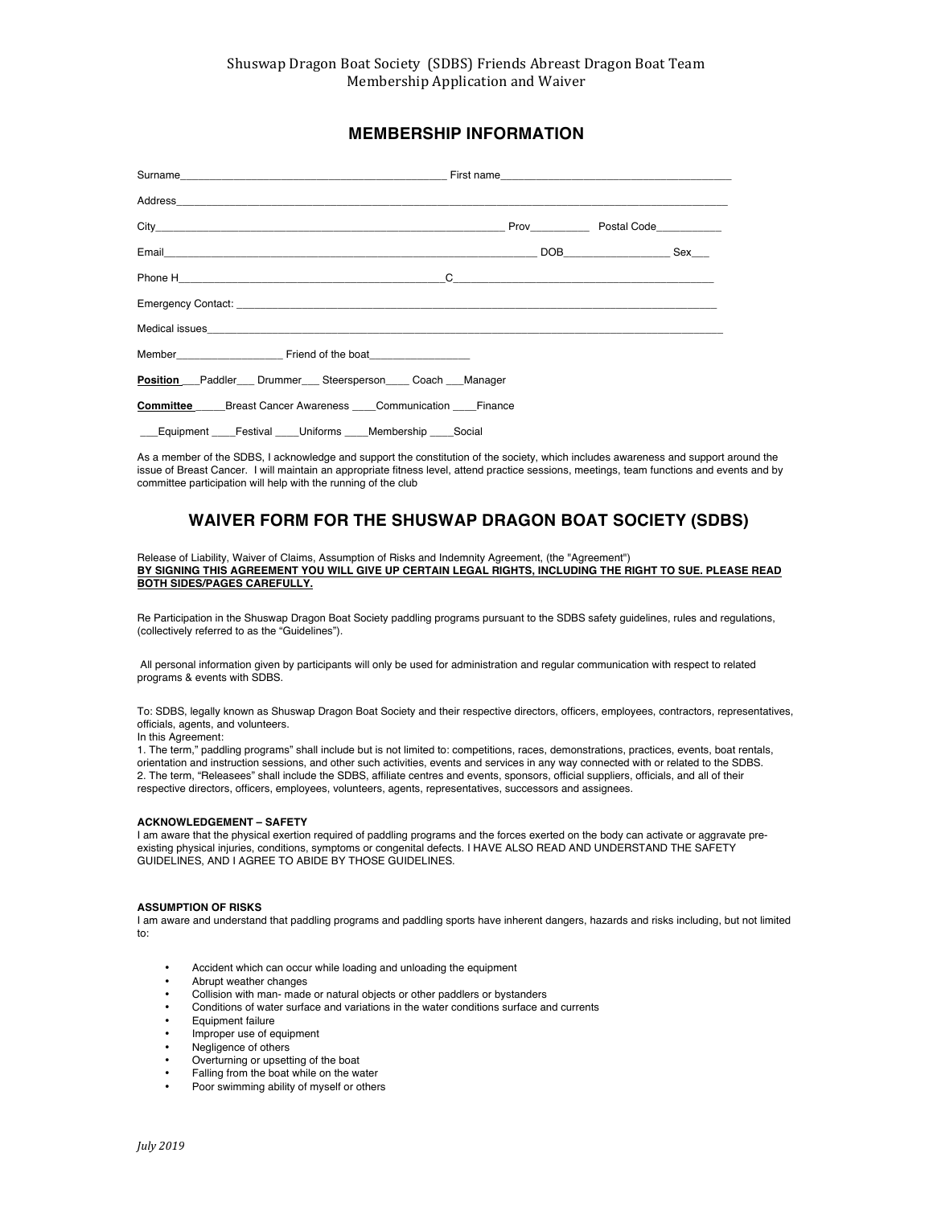# **MEMBERSHIP INFORMATION**

| Member Friend of the boat                                      |  |  |
|----------------------------------------------------------------|--|--|
| <b>Position</b> Paddler Drummer Steersperson Coach Manager     |  |  |
| <b>Committee</b> Breast Cancer Awareness Communication Finance |  |  |
| Equipment Festival Uniforms Membership Social                  |  |  |

As a member of the SDBS, I acknowledge and support the constitution of the society, which includes awareness and support around the issue of Breast Cancer. I will maintain an appropriate fitness level, attend practice sessions, meetings, team functions and events and by committee participation will help with the running of the club

## **WAIVER FORM FOR THE SHUSWAP DRAGON BOAT SOCIETY (SDBS)**

Release of Liability, Waiver of Claims, Assumption of Risks and Indemnity Agreement, (the "Agreement") **BY SIGNING THIS AGREEMENT YOU WILL GIVE UP CERTAIN LEGAL RIGHTS, INCLUDING THE RIGHT TO SUE. PLEASE READ BOTH SIDES/PAGES CAREFULLY.** 

Re Participation in the Shuswap Dragon Boat Society paddling programs pursuant to the SDBS safety guidelines, rules and regulations, (collectively referred to as the "Guidelines").

All personal information given by participants will only be used for administration and regular communication with respect to related programs & events with SDBS.

To: SDBS, legally known as Shuswap Dragon Boat Society and their respective directors, officers, employees, contractors, representatives, officials, agents, and volunteers.

In this Agreement:

1. The term," paddling programs" shall include but is not limited to: competitions, races, demonstrations, practices, events, boat rentals, orientation and instruction sessions, and other such activities, events and services in any way connected with or related to the SDBS. 2. The term, "Releasees" shall include the SDBS, affiliate centres and events, sponsors, official suppliers, officials, and all of their respective directors, officers, employees, volunteers, agents, representatives, successors and assignees.

### **ACKNOWLEDGEMENT – SAFETY**

I am aware that the physical exertion required of paddling programs and the forces exerted on the body can activate or aggravate preexisting physical injuries, conditions, symptoms or congenital defects. I HAVE ALSO READ AND UNDERSTAND THE SAFETY GUIDELINES, AND I AGREE TO ABIDE BY THOSE GUIDELINES.

#### **ASSUMPTION OF RISKS**

I am aware and understand that paddling programs and paddling sports have inherent dangers, hazards and risks including, but not limited to:

- Accident which can occur while loading and unloading the equipment
- Abrupt weather changes
- Collision with man- made or natural objects or other paddlers or bystanders
- Conditions of water surface and variations in the water conditions surface and currents<br>• Equipment failure
- Equipment failure
- Improper use of equipment
- Negligence of others
- Overturning or upsetting of the boat
- Falling from the boat while on the water
- Poor swimming ability of myself or others